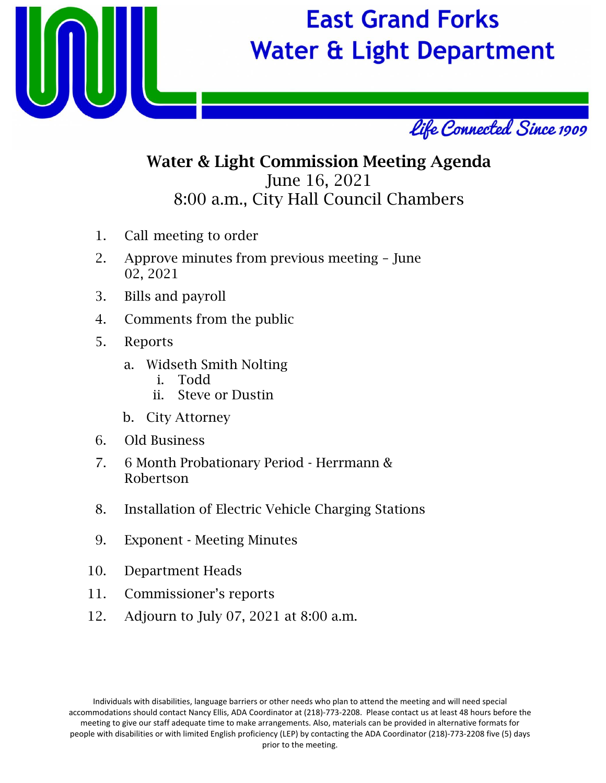

# **East Grand Forks Water & Light Department**



## Water & Light Commission Meeting Agenda June 16, 2021 8:00 a.m., City Hall Council Chambers

- 1. Call meeting to order
- 2. Approve minutes from previous meeting June 02, 2021
- 3. Bills and payroll
- 4. Comments from the public
- 5. Reports
	- a. Widseth Smith Nolting
		- i. Todd
		- ii. Steve or Dustin
	- b. City Attorney
- 6. Old Business
- 7. 6 Month Probationary Period Herrmann & Robertson
- 8. Installation of Electric Vehicle Charging Stations
- 9. Exponent Meeting Minutes
- 10. Department Heads
- 11. Commissioner's reports
- 12. Adjourn to July 07, 2021 at 8:00 a.m.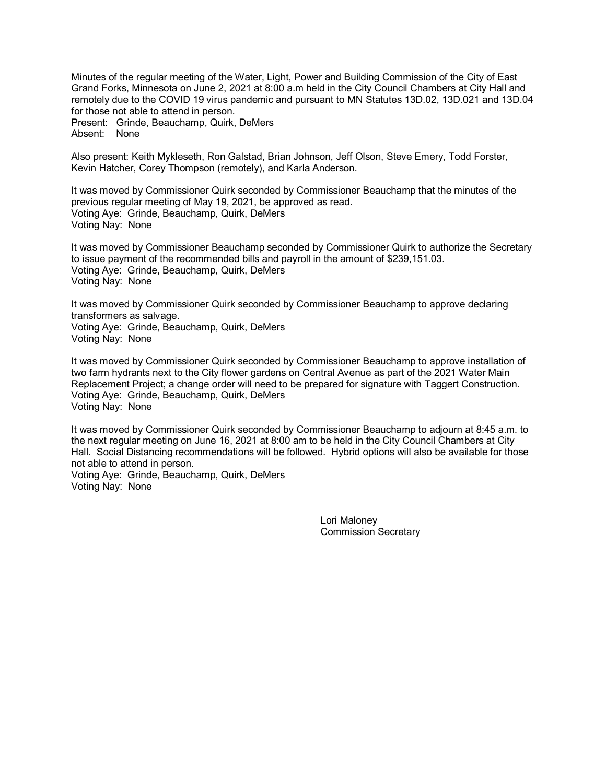Minutes of the regular meeting of the Water, Light, Power and Building Commission of the City of East Grand Forks, Minnesota on June 2, 2021 at 8:00 a.m held in the City Council Chambers at City Hall and remotely due to the COVID 19 virus pandemic and pursuant to MN Statutes 13D.02, 13D.021 and 13D.04 for those not able to attend in person. Present: Grinde, Beauchamp, Quirk, DeMers

Absent: None

Also present: Keith Mykleseth, Ron Galstad, Brian Johnson, Jeff Olson, Steve Emery, Todd Forster, Kevin Hatcher, Corey Thompson (remotely), and Karla Anderson.

It was moved by Commissioner Quirk seconded by Commissioner Beauchamp that the minutes of the previous regular meeting of May 19, 2021, be approved as read. Voting Aye: Grinde, Beauchamp, Quirk, DeMers Voting Nay: None

It was moved by Commissioner Beauchamp seconded by Commissioner Quirk to authorize the Secretary to issue payment of the recommended bills and payroll in the amount of \$239,151.03. Voting Aye: Grinde, Beauchamp, Quirk, DeMers Voting Nay: None

It was moved by Commissioner Quirk seconded by Commissioner Beauchamp to approve declaring transformers as salvage. Voting Aye: Grinde, Beauchamp, Quirk, DeMers Voting Nay: None

It was moved by Commissioner Quirk seconded by Commissioner Beauchamp to approve installation of two farm hydrants next to the City flower gardens on Central Avenue as part of the 2021 Water Main Replacement Project; a change order will need to be prepared for signature with Taggert Construction. Voting Aye: Grinde, Beauchamp, Quirk, DeMers Voting Nay: None

It was moved by Commissioner Quirk seconded by Commissioner Beauchamp to adjourn at 8:45 a.m. to the next regular meeting on June 16, 2021 at 8:00 am to be held in the City Council Chambers at City Hall. Social Distancing recommendations will be followed. Hybrid options will also be available for those not able to attend in person.

Voting Aye: Grinde, Beauchamp, Quirk, DeMers Voting Nay: None

> Lori Maloney Commission Secretary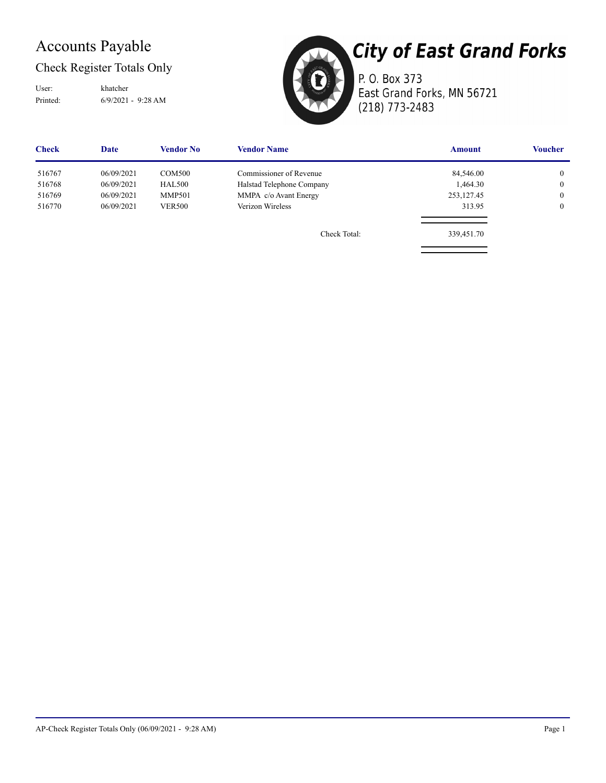## Accounts Payable

Check Register Totals Only

Printed: 6/9/2021 - 9:28 AM User: khatcher



**City of East Grand Forks** P. O. Box 373 East Grand Forks, MN 56721 (218) 773-2483

| <b>Check</b> | <b>Date</b> | Vendor No     | <b>Vendor Name</b>        | <b>Amount</b> | <b>Voucher</b> |
|--------------|-------------|---------------|---------------------------|---------------|----------------|
| 516767       | 06/09/2021  | <b>COM500</b> | Commissioner of Revenue   | 84,546.00     | $\overline{0}$ |
| 516768       | 06/09/2021  | <b>HAL500</b> | Halstad Telephone Company | 1,464.30      | $\overline{0}$ |
| 516769       | 06/09/2021  | <b>MMP501</b> | MMPA c/o Avant Energy     | 253, 127.45   | $\overline{0}$ |
| 516770       | 06/09/2021  | <b>VER500</b> | Verizon Wireless          | 313.95        | $\overline{0}$ |
|              |             |               | Check Total:              | 339,451.70    |                |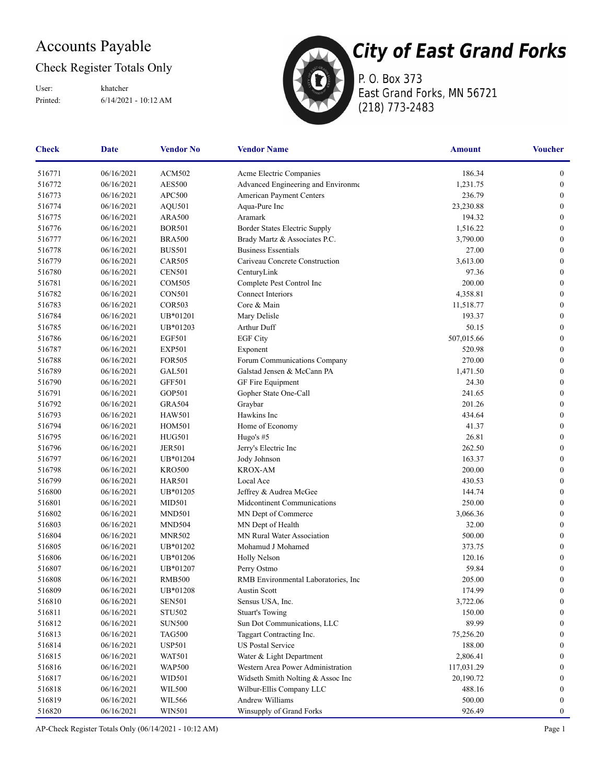## Accounts Payable

#### Check Register Totals Only

User: khatcher

Printed: 6/14/2021 - 10:12 AM



**City of East Grand Forks** P. O. Box 373

East Grand Forks, MN 56721 (218) 773-2483

| <b>Check</b> | <b>Date</b> | <b>Vendor No</b> | <b>Vendor Name</b>                   | <b>Amount</b> | <b>Voucher</b>   |
|--------------|-------------|------------------|--------------------------------------|---------------|------------------|
| 516771       | 06/16/2021  | <b>ACM502</b>    | Acme Electric Companies              | 186.34        | $\boldsymbol{0}$ |
| 516772       | 06/16/2021  | <b>AES500</b>    | Advanced Engineering and Environme   | 1,231.75      | $\boldsymbol{0}$ |
| 516773       | 06/16/2021  | <b>APC500</b>    | American Payment Centers             | 236.79        | $\boldsymbol{0}$ |
| 516774       | 06/16/2021  | <b>AQU501</b>    | Aqua-Pure Inc                        | 23,230.88     | $\boldsymbol{0}$ |
| 516775       | 06/16/2021  | <b>ARA500</b>    | Aramark                              | 194.32        | $\boldsymbol{0}$ |
| 516776       | 06/16/2021  | <b>BOR501</b>    | Border States Electric Supply        | 1,516.22      | $\boldsymbol{0}$ |
| 516777       | 06/16/2021  | <b>BRA500</b>    | Brady Martz & Associates P.C.        | 3,790.00      | $\boldsymbol{0}$ |
| 516778       | 06/16/2021  | <b>BUS501</b>    | <b>Business Essentials</b>           | 27.00         | $\boldsymbol{0}$ |
| 516779       | 06/16/2021  | <b>CAR505</b>    | Cariveau Concrete Construction       | 3,613.00      | $\boldsymbol{0}$ |
| 516780       | 06/16/2021  | <b>CEN501</b>    | CenturyLink                          | 97.36         | $\mathbf{0}$     |
| 516781       | 06/16/2021  | <b>COM505</b>    | Complete Pest Control Inc            | 200.00        | $\boldsymbol{0}$ |
| 516782       | 06/16/2021  | <b>CON501</b>    | Connect Interiors                    | 4,358.81      | $\boldsymbol{0}$ |
| 516783       | 06/16/2021  | <b>COR503</b>    | Core & Main                          | 11,518.77     | 0                |
| 516784       | 06/16/2021  | UB*01201         | Mary Delisle                         | 193.37        | $\boldsymbol{0}$ |
| 516785       | 06/16/2021  | UB*01203         | Arthur Duff                          | 50.15         | $\boldsymbol{0}$ |
| 516786       | 06/16/2021  | <b>EGF501</b>    | <b>EGF City</b>                      | 507,015.66    | $\boldsymbol{0}$ |
| 516787       | 06/16/2021  | <b>EXP501</b>    | Exponent                             | 520.98        | $\overline{0}$   |
| 516788       | 06/16/2021  | <b>FOR505</b>    | Forum Communications Company         | 270.00        | $\boldsymbol{0}$ |
| 516789       | 06/16/2021  | <b>GAL501</b>    | Galstad Jensen & McCann PA           | 1,471.50      | $\boldsymbol{0}$ |
| 516790       | 06/16/2021  | <b>GFF501</b>    | GF Fire Equipment                    | 24.30         | $\boldsymbol{0}$ |
| 516791       | 06/16/2021  | GOP501           | Gopher State One-Call                | 241.65        | $\boldsymbol{0}$ |
| 516792       | 06/16/2021  | <b>GRA504</b>    | Graybar                              | 201.26        | 0                |
| 516793       | 06/16/2021  | <b>HAW501</b>    | Hawkins Inc                          | 434.64        | $\boldsymbol{0}$ |
| 516794       | 06/16/2021  | <b>HOM501</b>    | Home of Economy                      | 41.37         | $\boldsymbol{0}$ |
| 516795       | 06/16/2021  | <b>HUG501</b>    | Hugo's $#5$                          | 26.81         | $\boldsymbol{0}$ |
| 516796       | 06/16/2021  | <b>JER501</b>    | Jerry's Electric Inc                 | 262.50        | $\boldsymbol{0}$ |
| 516797       | 06/16/2021  | UB*01204         | Jody Johnson                         | 163.37        | $\boldsymbol{0}$ |
| 516798       | 06/16/2021  | <b>KRO500</b>    | <b>KROX-AM</b>                       | 200.00        | $\boldsymbol{0}$ |
| 516799       | 06/16/2021  | <b>HAR501</b>    | Local Ace                            | 430.53        | $\overline{0}$   |
| 516800       | 06/16/2021  | UB*01205         | Jeffrey & Audrea McGee               | 144.74        | $\mathbf{0}$     |
| 516801       | 06/16/2021  | <b>MID501</b>    | Midcontinent Communications          | 250.00        | $\boldsymbol{0}$ |
| 516802       | 06/16/2021  | MND501           | MN Dept of Commerce                  | 3,066.36      | $\boldsymbol{0}$ |
| 516803       | 06/16/2021  | <b>MND504</b>    | MN Dept of Health                    | 32.00         | $\boldsymbol{0}$ |
| 516804       | 06/16/2021  | <b>MNR502</b>    | MN Rural Water Association           | 500.00        | $\boldsymbol{0}$ |
| 516805       | 06/16/2021  | UB*01202         | Mohamud J Mohamed                    | 373.75        | $\boldsymbol{0}$ |
| 516806       | 06/16/2021  | UB*01206         | <b>Holly Nelson</b>                  | 120.16        | $\overline{0}$   |
| 516807       | 06/16/2021  | UB*01207         | Perry Ostmo                          | 59.84         | $\boldsymbol{0}$ |
| 516808       | 06/16/2021  | <b>RMB500</b>    | RMB Environmental Laboratories, Inc. | 205.00        | $\boldsymbol{0}$ |
| 516809       | 06/16/2021  | UB*01208         | <b>Austin Scott</b>                  | 174.99        | $\boldsymbol{0}$ |
| 516810       | 06/16/2021  | <b>SEN501</b>    | Sensus USA, Inc.                     | 3,722.06      | $\boldsymbol{0}$ |
| 516811       | 06/16/2021  | <b>STU502</b>    | <b>Stuart's Towing</b>               | 150.00        | $\boldsymbol{0}$ |
| 516812       | 06/16/2021  | <b>SUN500</b>    | Sun Dot Communications, LLC          | 89.99         | $\bf{0}$         |
| 516813       | 06/16/2021  | <b>TAG500</b>    | Taggart Contracting Inc.             | 75,256.20     | $\bf{0}$         |
| 516814       | 06/16/2021  | <b>USP501</b>    | <b>US Postal Service</b>             | 188.00        | $\mathbf{0}$     |
| 516815       | 06/16/2021  | <b>WAT501</b>    | Water & Light Department             | 2,806.41      | $\bf{0}$         |
| 516816       | 06/16/2021  | <b>WAP500</b>    | Western Area Power Administration    | 117,031.29    | 0                |
| 516817       | 06/16/2021  | WID501           | Widseth Smith Nolting & Assoc Inc    | 20,190.72     | 0                |
| 516818       | 06/16/2021  | <b>WIL500</b>    | Wilbur-Ellis Company LLC             | 488.16        | $\boldsymbol{0}$ |
| 516819       | 06/16/2021  | <b>WIL566</b>    | Andrew Williams                      | 500.00        | $\overline{0}$   |
| 516820       | 06/16/2021  | WIN501           | Winsupply of Grand Forks             | 926.49        | $\boldsymbol{0}$ |

AP-Check Register Totals Only (06/14/2021 - 10:12 AM) Page 1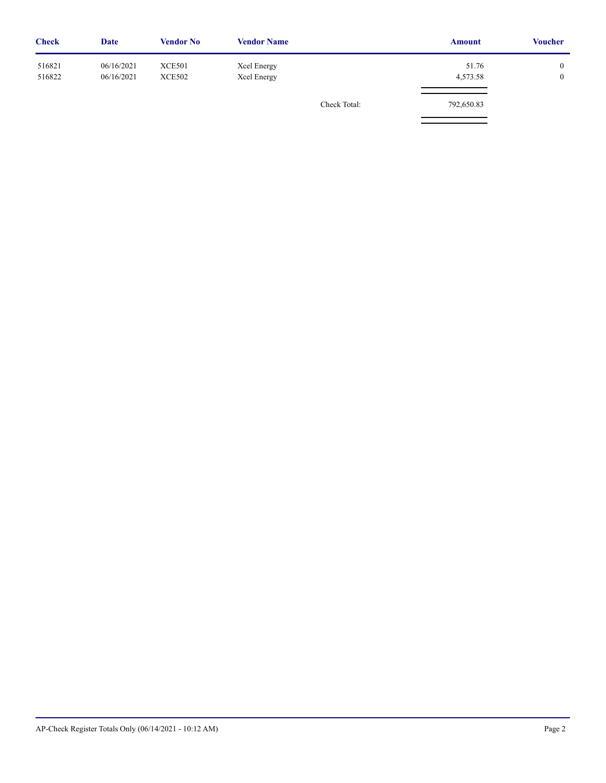| <b>Check</b>     | <b>Date</b>              | Vendor No                      | <b>Vendor Name</b>         |              | <b>Amount</b>     | <b>Voucher</b>       |
|------------------|--------------------------|--------------------------------|----------------------------|--------------|-------------------|----------------------|
| 516821<br>516822 | 06/16/2021<br>06/16/2021 | <b>XCE501</b><br><b>XCE502</b> | Xcel Energy<br>Xcel Energy |              | 51.76<br>4,573.58 | $\Omega$<br>$\Omega$ |
|                  |                          |                                |                            | Check Total: | 792,650.83        |                      |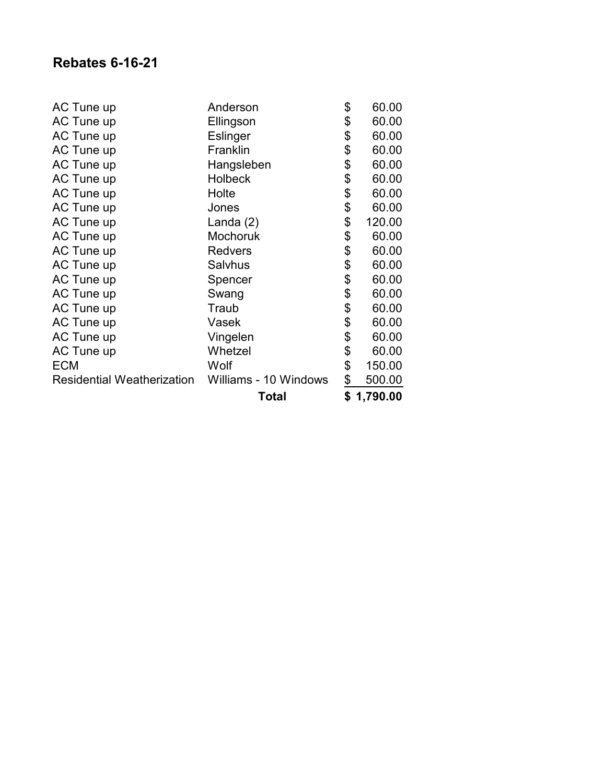| AC Tune up                        | Anderson              | \$            | 60.00    |
|-----------------------------------|-----------------------|---------------|----------|
| AC Tune up                        | Ellingson             | \$            | 60.00    |
| AC Tune up                        | <b>Eslinger</b>       | \$            | 60.00    |
| <b>AC Tune up</b>                 | Franklin              | \$            | 60.00    |
| AC Tune up                        | Hangsleben            | \$            | 60.00    |
| AC Tune up                        | <b>Holbeck</b>        | \$            | 60.00    |
| <b>AC Tune up</b>                 | Holte                 | \$            | 60.00    |
| AC Tune up                        | Jones                 | \$            | 60.00    |
| <b>AC Tune up</b>                 | Landa $(2)$           | \$            | 120.00   |
| AC Tune up                        | <b>Mochoruk</b>       | \$            | 60.00    |
| AC Tune up                        | <b>Redvers</b>        | \$            | 60.00    |
| AC Tune up                        | <b>Salvhus</b>        | \$            | 60.00    |
| AC Tune up                        | Spencer               | \$            | 60.00    |
| AC Tune up                        | Swang                 | \$            | 60.00    |
| AC Tune up                        | Traub                 | \$            | 60.00    |
| <b>AC Tune up</b>                 | Vasek                 | \$            | 60.00    |
| AC Tune up                        | Vingelen              | \$            | 60.00    |
| AC Tune up                        | Whetzel               | \$            | 60.00    |
| <b>ECM</b>                        | Wolf                  | \$            | 150.00   |
| <b>Residential Weatherization</b> | Williams - 10 Windows | $\frac{1}{2}$ | 500.00   |
|                                   | Total                 | \$            | 1,790.00 |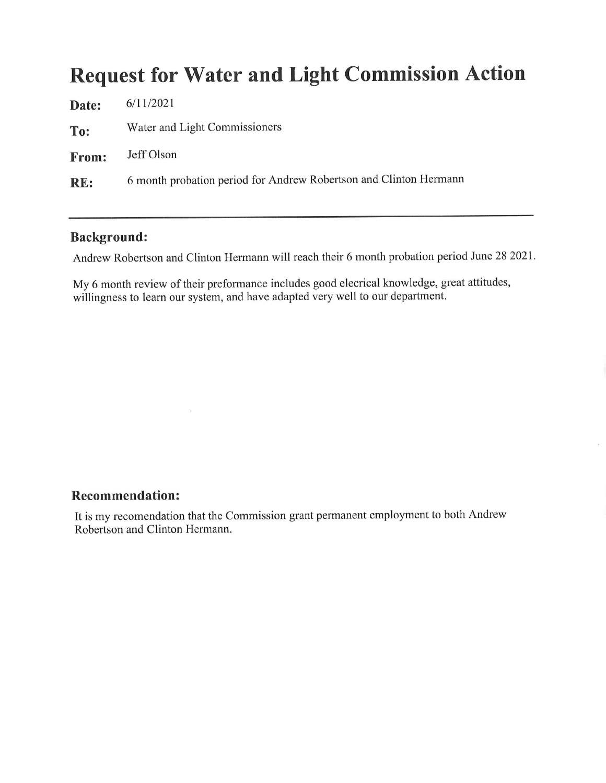## **Request for Water and Light Commission Action**

| Date: | 6/11/2021                                                         |
|-------|-------------------------------------------------------------------|
| To:   | Water and Light Commissioners                                     |
| From: | Jeff Olson                                                        |
| RE:   | 6 month probation period for Andrew Robertson and Clinton Hermann |

#### **Background:**

Andrew Robertson and Clinton Hermann will reach their 6 month probation period June 28 2021.

My 6 month review of their preformance includes good elecrical knowledge, great attitudes, willingness to learn our system, and have adapted very well to our department.

#### **Recommendation:**

It is my recomendation that the Commission grant permanent employment to both Andrew Robertson and Clinton Hermann.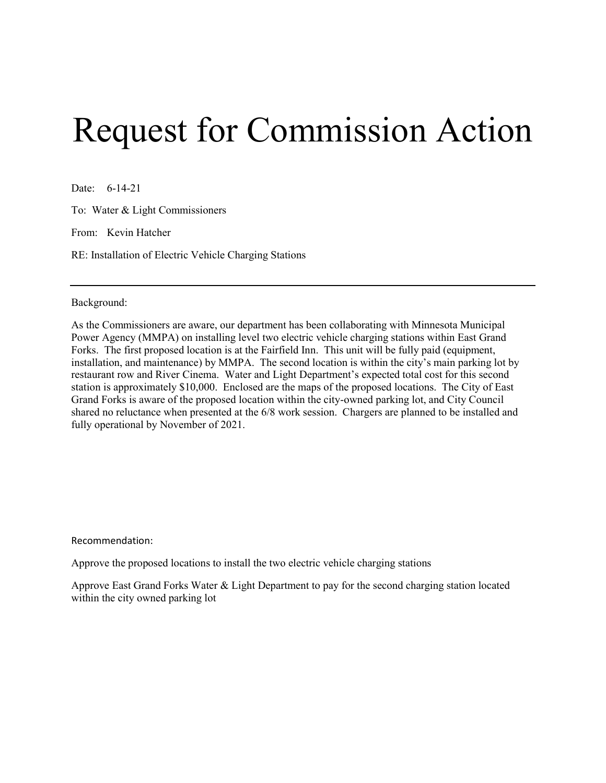# Request for Commission Action

Date: 6-14-21

To: Water & Light Commissioners

From: Kevin Hatcher

RE: Installation of Electric Vehicle Charging Stations

#### Background:

As the Commissioners are aware, our department has been collaborating with Minnesota Municipal Power Agency (MMPA) on installing level two electric vehicle charging stations within East Grand Forks. The first proposed location is at the Fairfield Inn. This unit will be fully paid (equipment, installation, and maintenance) by MMPA. The second location is within the city's main parking lot by restaurant row and River Cinema. Water and Light Department's expected total cost for this second station is approximately \$10,000. Enclosed are the maps of the proposed locations. The City of East Grand Forks is aware of the proposed location within the city-owned parking lot, and City Council shared no reluctance when presented at the 6/8 work session. Chargers are planned to be installed and fully operational by November of 2021.

Recommendation:

Approve the proposed locations to install the two electric vehicle charging stations

Approve East Grand Forks Water & Light Department to pay for the second charging station located within the city owned parking lot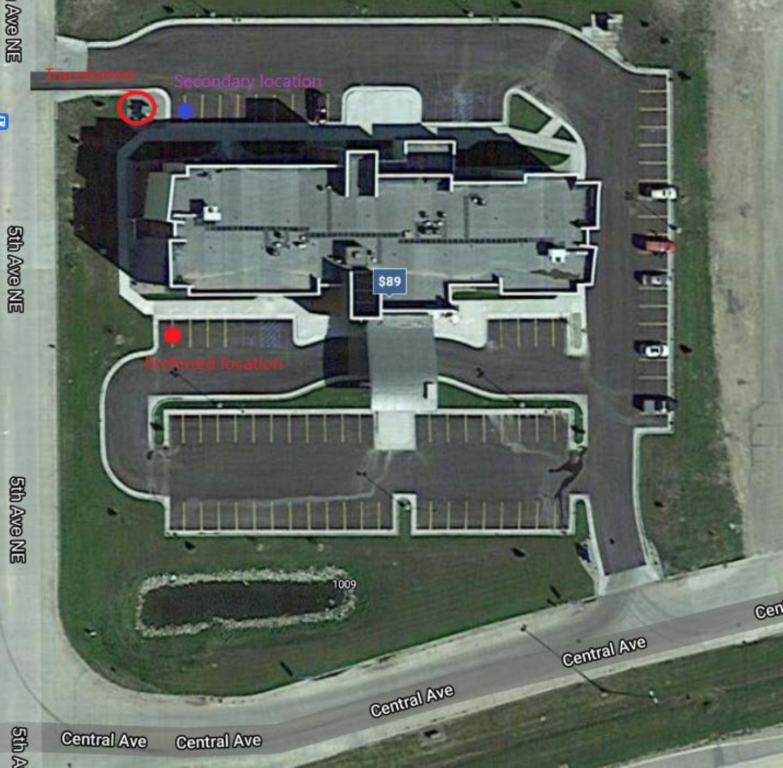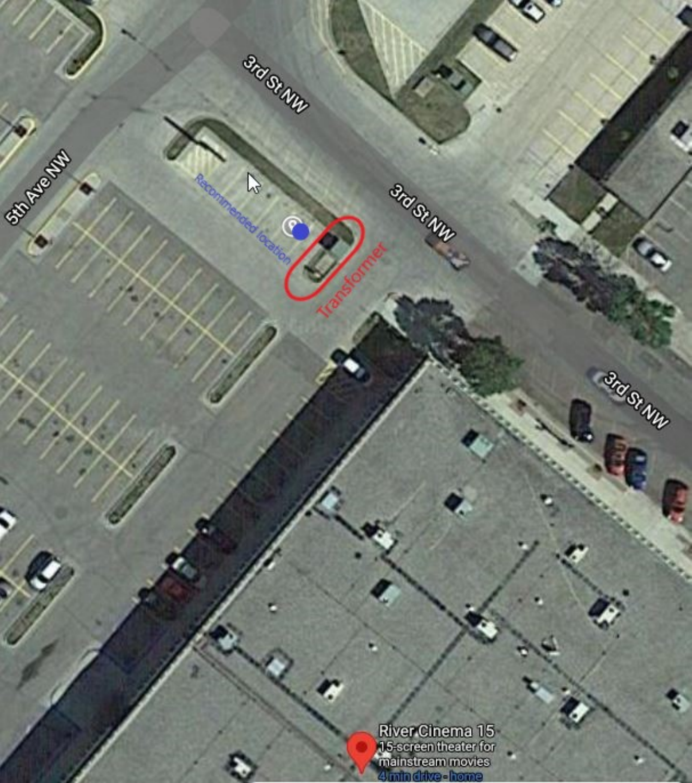River Cinema 15<br>15-screen theater for<br>mainstream movies<br>4 min dilye - home

**STO St NW** 

D-

¢

**Std St NW** 

G

E.

Std St NW

2

 $\overline{G}$ 

Recommended load

 $\mathcal{O}$ 

Strategisty

5

B